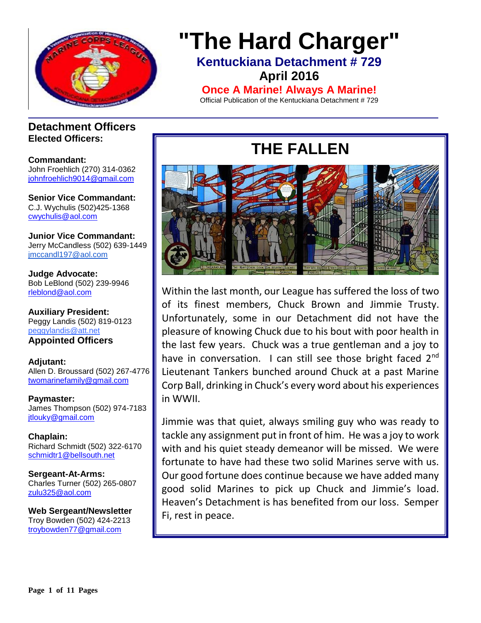

## **"The Hard Charger" Kentuckiana Detachment # 729 April 2016**

**Once A Marine! Always A Marine!**

Official Publication of the Kentuckiana Detachment # 729

### **Detachment Officers Elected Officers:**

**Commandant:**  John Froehlich (270) 314-0362 [johnfroehlich9014@gmail.com](file:///E:/Allen%20Broussard/Downloads/johnfroehlich9014@gmail.com)

**Senior Vice Commandant:** C.J. Wychulis (502)425-1368 cwychulis@aol.com

**Junior Vice Commandant:** Jerry McCandless (502) 639-1449 [jmccandl197@aol.com](mailto:jmccandl197@aol.com)

**Judge Advocate:** Bob LeBlond (502) 239-9946 rleblond@aol.com

**Auxiliary President:** Peggy Landis (502) 819-0123 peggylandis@att.net **Appointed Officers**

**Adjutant:** Allen D. Broussard (502) 267-4776 [twomarinefamily@gmail.com](file:///C:/Downloads/broussard.marines@insightbb.com)

**Paymaster:** James Thompson (502) 974-7183 [jtlouky@gmail.com](mailto:jtlouky@gmail.com)

**Chaplain:** Richard Schmidt (502) 322-6170 [schmidtr1@bellsouth.net](mailto:Alusmc75@gmail.com)

**Sergeant-At-Arms:** Charles Turner (502) 265-0807 [zulu325@aol.com](file:///E:/Allen%20Broussard/Downloads/zulu325@aol.com)

**Web Sergeant/Newsletter** Troy Bowden (502) 424-2213 troybowden77@gmail.com

# **THE FALLEN**



Within the last month, our League has suffered the loss of two of its finest members, Chuck Brown and Jimmie Trusty. Unfortunately, some in our Detachment did not have the pleasure of knowing Chuck due to his bout with poor health in the last few years. Chuck was a true gentleman and a joy to have in conversation. I can still see those bright faced  $2^{nd}$ Lieutenant Tankers bunched around Chuck at a past Marine Corp Ball, drinking in Chuck's every word about his experiences in WWII.

Jimmie was that quiet, always smiling guy who was ready to tackle any assignment put in front of him. He was a joy to work with and his quiet steady demeanor will be missed. We were fortunate to have had these two solid Marines serve with us. Our good fortune does continue because we have added many good solid Marines to pick up Chuck and Jimmie's load. Heaven's Detachment is has benefited from our loss. Semper Fi, rest in peace.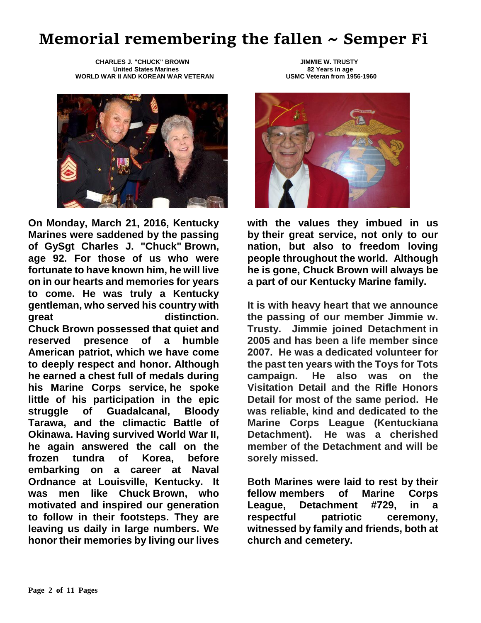# **Memorial remembering the fallen ~ Semper Fi**

 **CHARLES J. "CHUCK" BROWN JIMMIE W. TRUSTY United States Marines 82 Years in age WORLD WAR II AND KOREAN WAR VETERAN** 



**On Monday, March 21, 2016, Kentucky Marines were saddened by the passing of GySgt Charles J. "Chuck" Brown, age 92. For those of us who were fortunate to have known him, he will live on in our hearts and memories for years to come. He was truly a Kentucky gentleman, who served his country with great** distinction. **Chuck Brown possessed that quiet and reserved presence of a humble American patriot, which we have come to deeply respect and honor. Although he earned a chest full of medals during his Marine Corps service, he spoke little of his participation in the epic struggle of Guadalcanal, Bloody Tarawa, and the climactic Battle of Okinawa. Having survived World War II, he again answered the call on the frozen tundra of Korea, before embarking on a career at Naval Ordnance at Louisville, Kentucky. It was men like Chuck Brown, who motivated and inspired our generation to follow in their footsteps. They are leaving us daily in large numbers. We honor their memories by living our lives** 



**with the values they imbued in us by their great service, not only to our nation, but also to freedom loving people throughout the world. Although he is gone, Chuck Brown will always be a part of our Kentucky Marine family.**

**It is with heavy heart that we announce the passing of our member Jimmie w. Trusty. Jimmie joined Detachment in 2005 and has been a life member since 2007. He was a dedicated volunteer for the past ten years with the Toys for Tots campaign. He also was on the Visitation Detail and the Rifle Honors Detail for most of the same period. He was reliable, kind and dedicated to the Marine Corps League (Kentuckiana Detachment). He was a cherished member of the Detachment and will be sorely missed.**

**Both Marines were laid to rest by their fellow members of Marine Corps League, Detachment #729, in a respectful patriotic ceremony, witnessed by family and friends, both at church and cemetery.**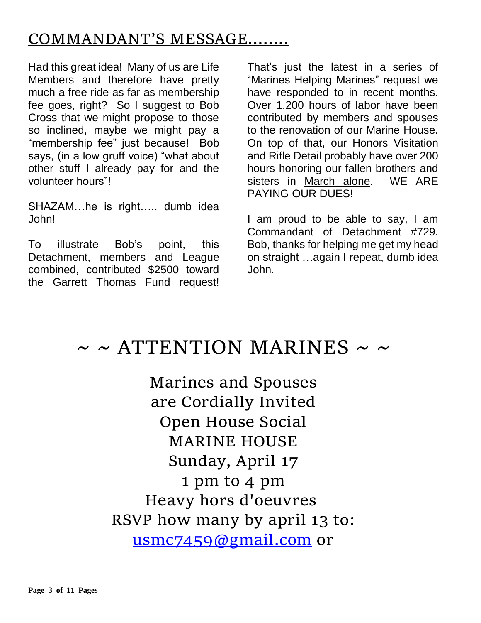# COMMANDANT'S MESSAGE……..

Had this great idea! Many of us are Life Members and therefore have pretty much a free ride as far as membership fee goes, right? So I suggest to Bob Cross that we might propose to those so inclined, maybe we might pay a "membership fee" just because! Bob says, (in a low gruff voice) "what about other stuff I already pay for and the volunteer hours"!

SHAZAM…he is right….. dumb idea John!

To illustrate Bob's point, this Detachment, members and League combined, contributed \$2500 toward the Garrett Thomas Fund request! That's just the latest in a series of "Marines Helping Marines" request we have responded to in recent months. Over 1,200 hours of labor have been contributed by members and spouses to the renovation of our Marine House. On top of that, our Honors Visitation and Rifle Detail probably have over 200 hours honoring our fallen brothers and sisters in March alone. WE ARE PAYING OUR DUES!

I am proud to be able to say, I am Commandant of Detachment #729. Bob, thanks for helping me get my head on straight …again I repeat, dumb idea John.

# $\sim$  ~ ATTENTION MARINES ~ ~

Marines and Spouses are Cordially Invited Open House Social MARINE HOUSE Sunday, April 17 1 pm to 4 pm Heavy hors d'oeuvres RSVP how many by april 13 to: [usmc7459@gmail.com](mailto:usmc7459@gmail.com) or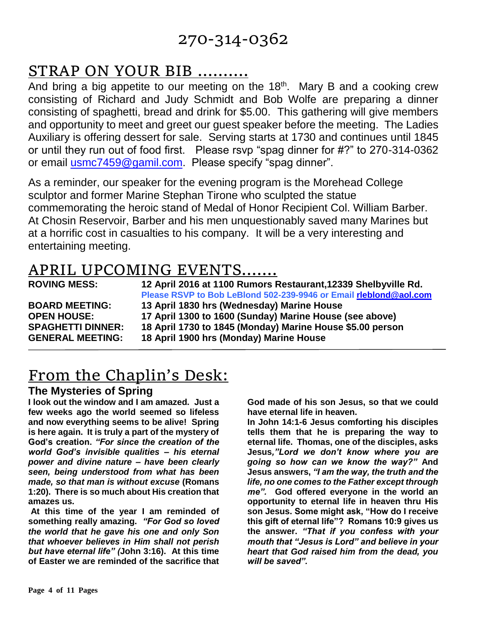## 270-314-0362

# STRAP ON YOUR BIB ……….

And bring a big appetite to our meeting on the  $18<sup>th</sup>$ . Mary B and a cooking crew consisting of Richard and Judy Schmidt and Bob Wolfe are preparing a dinner consisting of spaghetti, bread and drink for \$5.00. This gathering will give members and opportunity to meet and greet our guest speaker before the meeting. The Ladies Auxiliary is offering dessert for sale. Serving starts at 1730 and continues until 1845 or until they run out of food first. Please rsvp "spag dinner for #?" to 270-314-0362 or email [usmc7459@gamil.com.](mailto:usmc7459@gamil.com) Please specify "spag dinner".

As a reminder, our speaker for the evening program is the Morehead College sculptor and former Marine Stephan Tirone who sculpted the statue commemorating the heroic stand of Medal of Honor Recipient Col. William Barber. At Chosin Reservoir, Barber and his men unquestionably saved many Marines but at a horrific cost in casualties to his company. It will be a very interesting and entertaining meeting.

## APRIL UPCOMING EVENTS…….

| <b>ROVING MESS:</b>      | 12 April 2016 at 1100 Rumors Restaurant, 12339 Shelbyville Rd.<br>Please RSVP to Bob LeBlond 502-239-9946 or Email rleblond@aol.com |
|--------------------------|-------------------------------------------------------------------------------------------------------------------------------------|
| <b>BOARD MEETING:</b>    | 13 April 1830 hrs (Wednesday) Marine House                                                                                          |
| <b>OPEN HOUSE:</b>       | 17 April 1300 to 1600 (Sunday) Marine House (see above)                                                                             |
| <b>SPAGHETTI DINNER:</b> | 18 April 1730 to 1845 (Monday) Marine House \$5.00 person                                                                           |
| <b>GENERAL MEETING:</b>  | 18 April 1900 hrs (Monday) Marine House                                                                                             |

# From the Chaplin's Desk:

### **The Mysteries of Spring**

**I look out the window and I am amazed. Just a few weeks ago the world seemed so lifeless and now everything seems to be alive! Spring is here again. It is truly a part of the mystery of God's creation.** *"For since the creation of the world God's invisible qualities – his eternal power and divine nature – have been clearly seen, being understood from what has been made, so that man is without excuse* **(Romans 1:20). There is so much about His creation that amazes us.** 

**At this time of the year I am reminded of something really amazing.** *"For God so loved the world that he gave his one and only Son that whoever believes in Him shall not perish but have eternal life" (***John 3:16). At this time of Easter we are reminded of the sacrifice that** 

**God made of his son Jesus, so that we could have eternal life in heaven.** 

**In John 14:1-6 Jesus comforting his disciples tells them that he is preparing the way to eternal life. Thomas, one of the disciples, asks Jesus***,"Lord we don't know where you are going so how can we know the way?"* **And Jesus answers,** *"I am the way, the truth and the life, no one comes to the Father except through me".* **God offered everyone in the world an opportunity to eternal life in heaven thru His son Jesus. Some might ask, "How do I receive this gift of eternal life"? Romans 10:9 gives us the answer.** *"That if you confess with your mouth that "Jesus is Lord" and believe in your heart that God raised him from the dead, you will be saved".*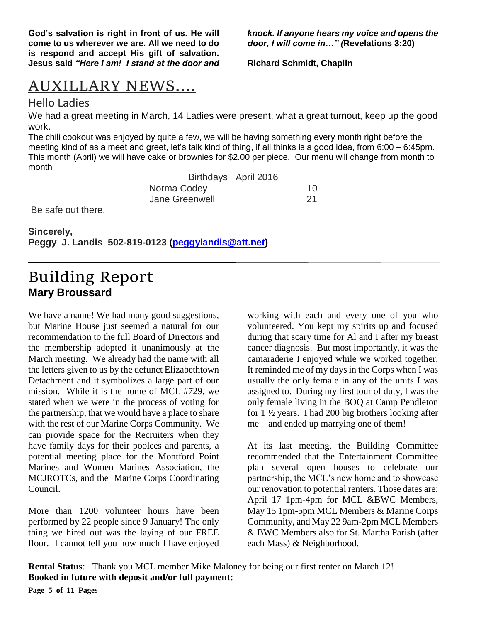**God's salvation is right in front of us. He will come to us wherever we are. All we need to do is respond and accept His gift of salvation. Jesus said** *"Here I am! I stand at the door and* 

*knock. If anyone hears my voice and opens the door, I will come in…" (***Revelations 3:20)**

**Richard Schmidt, Chaplin**

## AUXILLARY NEWS….

### Hello Ladies

We had a great meeting in March, 14 Ladies were present, what a great turnout, keep up the good work.

The chili cookout was enjoyed by quite a few, we will be having something every month right before the meeting kind of as a meet and greet, let's talk kind of thing, if all thinks is a good idea, from 6:00 – 6:45pm. This month (April) we will have cake or brownies for \$2.00 per piece. Our menu will change from month to month

Birthdays April 2016 Norma Codey 10 Jane Greenwell 21

Be safe out there,

**Sincerely, Peggy J. Landis 502-819-0123 [\(peggylandis@att.net\)](file:///E:/Bob/AppData/Local/Microsoft/Windows/Temporary%20Internet%20Files/Content.IE5/E9IEDDJK/peggylandis@att.net)**

### Building Report **Mary Broussard**

We have a name! We had many good suggestions, but Marine House just seemed a natural for our recommendation to the full Board of Directors and the membership adopted it unanimously at the March meeting. We already had the name with all the letters given to us by the defunct Elizabethtown Detachment and it symbolizes a large part of our mission. While it is the home of MCL #729, we stated when we were in the process of voting for the partnership, that we would have a place to share with the rest of our Marine Corps Community. We can provide space for the Recruiters when they have family days for their poolees and parents, a potential meeting place for the Montford Point Marines and Women Marines Association, the MCJROTCs, and the Marine Corps Coordinating Council.

More than 1200 volunteer hours have been performed by 22 people since 9 January! The only thing we hired out was the laying of our FREE floor. I cannot tell you how much I have enjoyed working with each and every one of you who volunteered. You kept my spirits up and focused during that scary time for Al and I after my breast cancer diagnosis. But most importantly, it was the camaraderie I enjoyed while we worked together. It reminded me of my days in the Corps when I was usually the only female in any of the units I was assigned to. During my first tour of duty, I was the only female living in the BOQ at Camp Pendleton for 1 ½ years. I had 200 big brothers looking after me – and ended up marrying one of them!

At its last meeting, the Building Committee recommended that the Entertainment Committee plan several open houses to celebrate our partnership, the MCL's new home and to showcase our renovation to potential renters. Those dates are: April 17 1pm-4pm for MCL &BWC Members, May 15 1pm-5pm MCL Members & Marine Corps Community, and May 22 9am-2pm MCL Members & BWC Members also for St. Martha Parish (after each Mass) & Neighborhood.

**Rental Status**: Thank you MCL member Mike Maloney for being our first renter on March 12! **Booked in future with deposit and/or full payment:**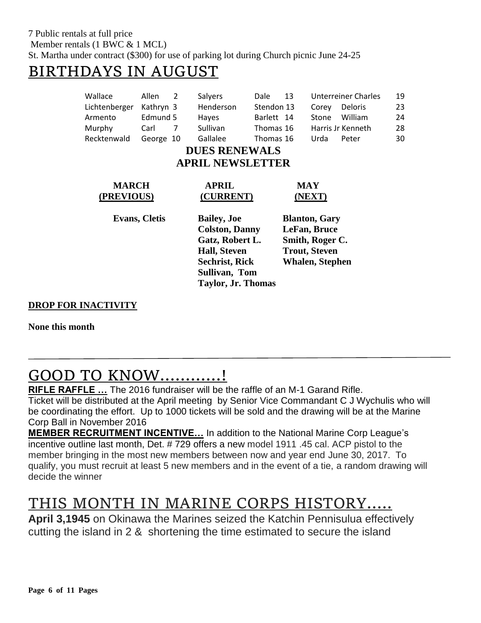### BIRTHDAYS IN AUGUST

| Wallace                 | Allen     | $\mathcal{P}$       | Salyers                   | Dale       | 13                     |                 | Unterreiner Charles | 19 |  |  |
|-------------------------|-----------|---------------------|---------------------------|------------|------------------------|-----------------|---------------------|----|--|--|
| Lichtenberger           | Kathryn 3 |                     | Henderson                 | Stendon 13 |                        | Corey           | Deloris             | 23 |  |  |
| Armento                 | Edmund 5  |                     | Hayes                     | Barlett 14 |                        | Stone           | William             | 24 |  |  |
| Murphy                  | Carl      | 7                   | <b>Sullivan</b>           | Thomas 16  |                        |                 | Harris Jr Kenneth   | 28 |  |  |
| Recktenwald             | George 10 |                     | Gallalee                  | Thomas 16  |                        | Urda            | Peter               | 30 |  |  |
| <b>DUES RENEWALS</b>    |           |                     |                           |            |                        |                 |                     |    |  |  |
| <b>APRIL NEWSLETTER</b> |           |                     |                           |            |                        |                 |                     |    |  |  |
| <b>MARCH</b>            |           | <b>APRIL</b>        |                           | MAY        |                        |                 |                     |    |  |  |
| (PREVIOUS)              |           | (CURRENT)           |                           |            | (NEXT)                 |                 |                     |    |  |  |
| <b>Evans, Cletis</b>    |           | <b>Bailey</b> , Joe |                           |            | <b>Blanton, Gary</b>   |                 |                     |    |  |  |
|                         |           |                     | <b>Colston, Danny</b>     |            |                        | LeFan, Bruce    |                     |    |  |  |
|                         |           |                     | Gatz, Robert L.           |            |                        | Smith, Roger C. |                     |    |  |  |
|                         |           | <b>Hall, Steven</b> |                           |            | <b>Trout, Steven</b>   |                 |                     |    |  |  |
|                         |           |                     | <b>Sechrist, Rick</b>     |            | <b>Whalen, Stephen</b> |                 |                     |    |  |  |
|                         |           |                     | Sullivan, Tom             |            |                        |                 |                     |    |  |  |
|                         |           |                     | <b>Taylor, Jr. Thomas</b> |            |                        |                 |                     |    |  |  |

### **DROP FOR INACTIVITY**

**None this month**

# GOOD TO KNOW…………!

**RIFLE RAFFLE …** The 2016 fundraiser will be the raffle of an M-1 Garand Rifle. Ticket will be distributed at the April meeting by Senior Vice Commandant C J Wychulis who will be coordinating the effort. Up to 1000 tickets will be sold and the drawing will be at the Marine Corp Ball in November 2016

**MEMBER RECRUITMENT INCENTIVE…** In addition to the National Marine Corp League's incentive outline last month, Det. # 729 offers a new model 1911 .45 cal. ACP pistol to the member bringing in the most new members between now and year end June 30, 2017. To qualify, you must recruit at least 5 new members and in the event of a tie, a random drawing will decide the winner

## THIS MONTH IN MARINE CORPS HISTORY…..

**April 3,1945** on Okinawa the Marines seized the Katchin Pennisulua effectively cutting the island in 2 & shortening the time estimated to secure the island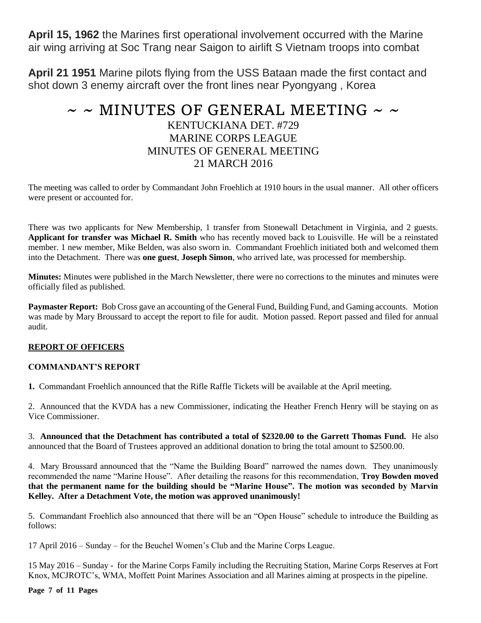**April 15, 1962** the Marines first operational involvement occurred with the Marine air wing arriving at Soc Trang near Saigon to airlift S Vietnam troops into combat

**April 21 1951** Marine pilots flying from the USS Bataan made the first contact and shot down 3 enemy aircraft over the front lines near Pyongyang , Korea

### $\sim$  ~ MINUTES OF GENERAL MEETING ~ ~ KENTUCKIANA DET. #729 MARINE CORPS LEAGUE MINUTES OF GENERAL MEETING 21 MARCH 2016

The meeting was called to order by Commandant John Froehlich at 1910 hours in the usual manner. All other officers were present or accounted for.

There was two applicants for New Membership, 1 transfer from Stonewall Detachment in Virginia, and 2 guests. **Applicant for transfer was Michael R. Smith** who has recently moved back to Louisville. He will be a reinstated member. 1 new member, Mike Belden, was also sworn in. Commandant Froehlich initiated both and welcomed them into the Detachment. There was **one guest**, **Joseph Simon**, who arrived late, was processed for membership.

**Minutes:** Minutes were published in the March Newsletter, there were no corrections to the minutes and minutes were officially filed as published.

**Paymaster Report:** Bob Cross gave an accounting of the General Fund, Building Fund, and Gaming accounts. Motion was made by Mary Broussard to accept the report to file for audit. Motion passed. Report passed and filed for annual audit.

#### **REPORT OF OFFICERS**

#### **COMMANDANT'S REPORT**

**1.** Commandant Froehlich announced that the Rifle Raffle Tickets will be available at the April meeting.

2. Announced that the KVDA has a new Commissioner, indicating the Heather French Henry will be staying on as Vice Commissioner.

3. **Announced that the Detachment has contributed a total of \$2320.00 to the Garrett Thomas Fund.** He also announced that the Board of Trustees approved an additional donation to bring the total amount to \$2500.00.

4. Mary Broussard announced that the "Name the Building Board" narrowed the names down. They unanimously recommended the name "Marine House". After detailing the reasons for this recommendation, **Troy Bowden moved that the permanent name for the building should be "Marine House". The motion was seconded by Marvin Kelley. After a Detachment Vote, the motion was approved unanimously!**

5. Commandant Froehlich also announced that there will be an "Open House" schedule to introduce the Building as follows:

17 April 2016 – Sunday – for the Beuchel Women's Club and the Marine Corps League.

15 May 2016 – Sunday - for the Marine Corps Family including the Recruiting Station, Marine Corps Reserves at Fort Knox, MCJROTC's, WMA, Moffett Point Marines Association and all Marines aiming at prospects in the pipeline.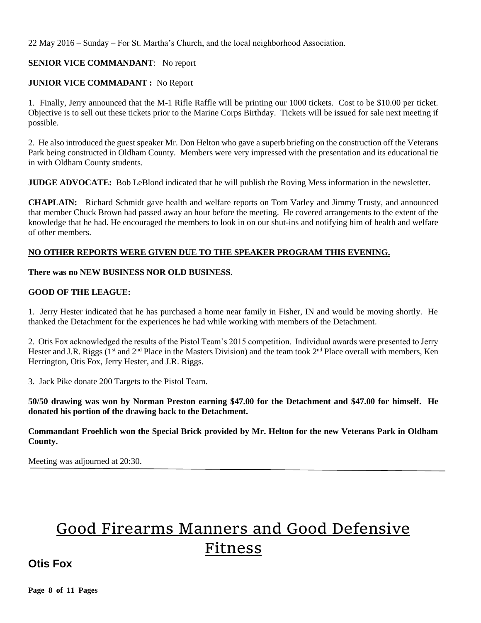22 May 2016 – Sunday – For St. Martha's Church, and the local neighborhood Association.

### **SENIOR VICE COMMANDANT**: No report

#### **JUNIOR VICE COMMADANT :** No Report

1. Finally, Jerry announced that the M-1 Rifle Raffle will be printing our 1000 tickets. Cost to be \$10.00 per ticket. Objective is to sell out these tickets prior to the Marine Corps Birthday. Tickets will be issued for sale next meeting if possible.

2. He also introduced the guest speaker Mr. Don Helton who gave a superb briefing on the construction off the Veterans Park being constructed in Oldham County. Members were very impressed with the presentation and its educational tie in with Oldham County students.

**JUDGE ADVOCATE:** Bob LeBlond indicated that he will publish the Roving Mess information in the newsletter.

**CHAPLAIN:** Richard Schmidt gave health and welfare reports on Tom Varley and Jimmy Trusty, and announced that member Chuck Brown had passed away an hour before the meeting. He covered arrangements to the extent of the knowledge that he had. He encouraged the members to look in on our shut-ins and notifying him of health and welfare of other members.

#### **NO OTHER REPORTS WERE GIVEN DUE TO THE SPEAKER PROGRAM THIS EVENING.**

#### **There was no NEW BUSINESS NOR OLD BUSINESS.**

#### **GOOD OF THE LEAGUE:**

1. Jerry Hester indicated that he has purchased a home near family in Fisher, IN and would be moving shortly. He thanked the Detachment for the experiences he had while working with members of the Detachment.

2. Otis Fox acknowledged the results of the Pistol Team's 2015 competition. Individual awards were presented to Jerry Hester and J.R. Riggs (1<sup>st</sup> and 2<sup>nd</sup> Place in the Masters Division) and the team took 2<sup>nd</sup> Place overall with members, Ken Herrington, Otis Fox, Jerry Hester, and J.R. Riggs.

3. Jack Pike donate 200 Targets to the Pistol Team.

**50/50 drawing was won by Norman Preston earning \$47.00 for the Detachment and \$47.00 for himself. He donated his portion of the drawing back to the Detachment.** 

#### **Commandant Froehlich won the Special Brick provided by Mr. Helton for the new Veterans Park in Oldham County.**

Meeting was adjourned at 20:30.

# Good Firearms Manners and Good Defensive Fitness

### **Otis Fox**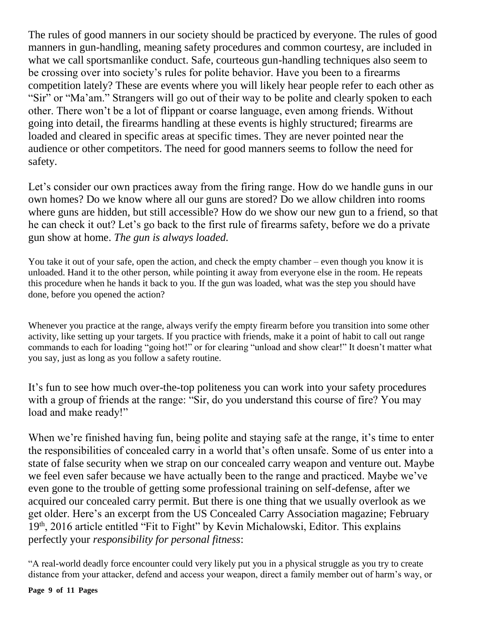The rules of good manners in our society should be practiced by everyone. The rules of good manners in gun-handling, meaning safety procedures and common courtesy, are included in what we call sportsmanlike conduct. Safe, courteous gun-handling techniques also seem to be crossing over into society's rules for polite behavior. Have you been to a firearms competition lately? These are events where you will likely hear people refer to each other as "Sir" or "Ma'am." Strangers will go out of their way to be polite and clearly spoken to each other. There won't be a lot of flippant or coarse language, even among friends. Without going into detail, the firearms handling at these events is highly structured; firearms are loaded and cleared in specific areas at specific times. They are never pointed near the audience or other competitors. The need for good manners seems to follow the need for safety.

Let's consider our own practices away from the firing range. How do we handle guns in our own homes? Do we know where all our guns are stored? Do we allow children into rooms where guns are hidden, but still accessible? How do we show our new gun to a friend, so that he can check it out? Let's go back to the first rule of firearms safety, before we do a private gun show at home. *The gun is always loaded.*

You take it out of your safe, open the action, and check the empty chamber – even though you know it is unloaded. Hand it to the other person, while pointing it away from everyone else in the room. He repeats this procedure when he hands it back to you. If the gun was loaded, what was the step you should have done, before you opened the action?

Whenever you practice at the range, always verify the empty firearm before you transition into some other activity, like setting up your targets. If you practice with friends, make it a point of habit to call out range commands to each for loading "going hot!" or for clearing "unload and show clear!" It doesn't matter what you say, just as long as you follow a safety routine.

It's fun to see how much over-the-top politeness you can work into your safety procedures with a group of friends at the range: "Sir, do you understand this course of fire? You may load and make ready!"

When we're finished having fun, being polite and staying safe at the range, it's time to enter the responsibilities of concealed carry in a world that's often unsafe. Some of us enter into a state of false security when we strap on our concealed carry weapon and venture out. Maybe we feel even safer because we have actually been to the range and practiced. Maybe we've even gone to the trouble of getting some professional training on self-defense, after we acquired our concealed carry permit. But there is one thing that we usually overlook as we get older. Here's an excerpt from the US Concealed Carry Association magazine; February  $19<sup>th</sup>$ , 2016 article entitled "Fit to Fight" by Kevin Michalowski, Editor. This explains perfectly your *responsibility for personal fitness*:

"A real-world deadly force encounter could very likely put you in a physical struggle as you try to create distance from your attacker, defend and access your weapon, direct a family member out of harm's way, or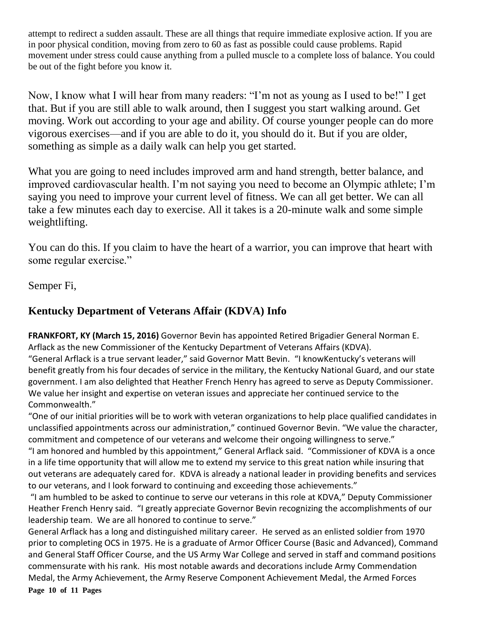attempt to redirect a sudden assault. These are all things that require immediate explosive action. If you are in poor physical condition, moving from zero to 60 as fast as possible could cause problems. Rapid movement under stress could cause anything from a pulled muscle to a complete loss of balance. You could be out of the fight before you know it.

Now, I know what I will hear from many readers: "I'm not as young as I used to be!" I get that. But if you are still able to walk around, then I suggest you start walking around. Get moving. Work out according to your age and ability. Of course younger people can do more vigorous exercises—and if you are able to do it, you should do it. But if you are older, something as simple as a daily walk can help you get started.

What you are going to need includes improved arm and hand strength, better balance, and improved cardiovascular health. I'm not saying you need to become an Olympic athlete; I'm saying you need to improve your current level of fitness. We can all get better. We can all take a few minutes each day to exercise. All it takes is a 20-minute walk and some simple weightlifting.

You can do this. If you claim to have the heart of a warrior, you can improve that heart with some regular exercise."

Semper Fi,

### **Kentucky Department of Veterans Affair (KDVA) Info**

**FRANKFORT, KY (March 15, 2016)** Governor Bevin has appointed Retired Brigadier General Norman E. Arflack as the new Commissioner of the Kentucky Department of Veterans Affairs (KDVA). "General Arflack is a true servant leader," said Governor Matt Bevin. "I knowKentucky's veterans will benefit greatly from his four decades of service in the military, the Kentucky National Guard, and our state government. I am also delighted that Heather French Henry has agreed to serve as Deputy Commissioner. We value her insight and expertise on veteran issues and appreciate her continued service to the Commonwealth."

"One of our initial priorities will be to work with veteran organizations to help place qualified candidates in unclassified appointments across our administration," continued Governor Bevin. "We value the character, commitment and competence of our veterans and welcome their ongoing willingness to serve." "I am honored and humbled by this appointment," General Arflack said. "Commissioner of KDVA is a once in a life time opportunity that will allow me to extend my service to this great nation while insuring that out veterans are adequately cared for. KDVA is already a national leader in providing benefits and services to our veterans, and I look forward to continuing and exceeding those achievements."

"I am humbled to be asked to continue to serve our veterans in this role at KDVA," Deputy Commissioner Heather French Henry said. "I greatly appreciate Governor Bevin recognizing the accomplishments of our leadership team. We are all honored to continue to serve."

General Arflack has a long and distinguished military career. He served as an enlisted soldier from 1970 prior to completing OCS in 1975. He is a graduate of Armor Officer Course (Basic and Advanced), Command and General Staff Officer Course, and the US Army War College and served in staff and command positions commensurate with his rank. His most notable awards and decorations include Army Commendation Medal, the Army Achievement, the Army Reserve Component Achievement Medal, the Armed Forces